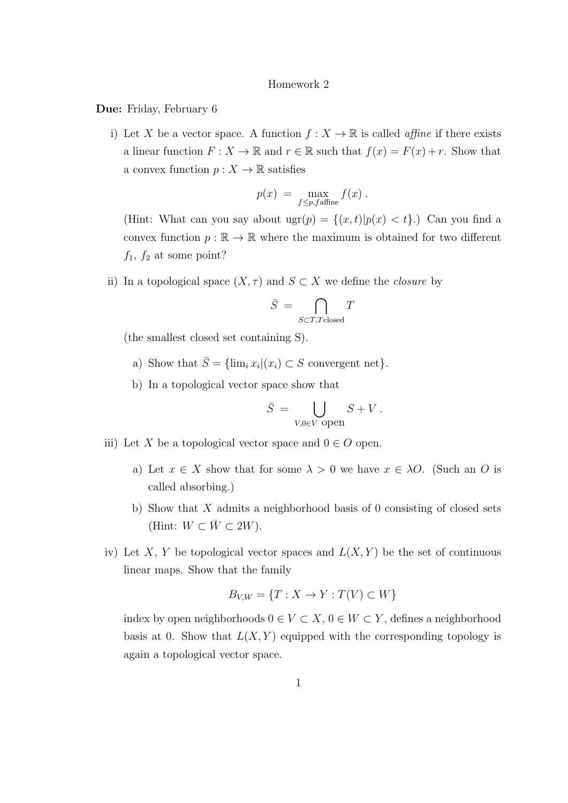## Homework 2

Due: Friday, February 6

i) Let X be a vector space. A function  $f: X \to \mathbb{R}$  is called *affine* if there exists a linear function  $F: X \to \mathbb{R}$  and  $r \in \mathbb{R}$  such that  $f(x) = F(x) + r$ . Show that a convex function  $p: X \to \mathbb{R}$  satisfies

$$
p(x) = \max_{f \le p, f \text{affine}} f(x) .
$$

(Hint: What can you say about  $ugr(p) = \{(x, t)|p(x) < t\}$ .) Can you find a convex function  $p : \mathbb{R} \to \mathbb{R}$  where the maximum is obtained for two different  $f_1$ ,  $f_2$  at some point?

ii) In a topological space  $(X, \tau)$  and  $S \subset X$  we define the *closure* by

$$
\bar{S}~=~\bigcap_{S \subset T, T \text{closed}} T
$$

(the smallest closed set containing S).

- a) Show that  $\bar{S} = \{\lim_i x_i | (x_i) \subset S \text{ convergent net}\}.$
- b) In a topological vector space show that

$$
\bar{S} = \bigcup_{V,0 \in V \text{ open}} S + V.
$$

- iii) Let X be a topological vector space and  $0 \in O$  open.
	- a) Let  $x \in X$  show that for some  $\lambda > 0$  we have  $x \in \lambda O$ . (Such an O is called absorbing.)
	- b) Show that  $X$  admits a neighborhood basis of 0 consisting of closed sets (Hint:  $W \subset \overline{W} \subset 2W$ ).
- iv) Let X, Y be topological vector spaces and  $L(X, Y)$  be the set of continuous linear maps. Show that the family

$$
B_{V,W} = \{T : X \to Y : T(V) \subset W\}
$$

index by open neighborhoods  $0\in V\subset X,$   $0\in W\subset Y,$  defines a neighborhood basis at 0. Show that  $L(X, Y)$  equipped with the corresponding topology is again a topological vector space.